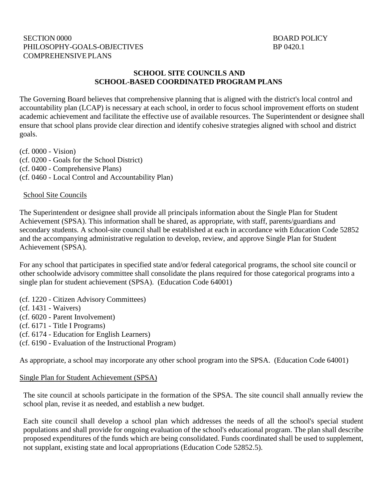#### SECTION 0000 BOARD POLICY PHILOSOPHY-GOALS-OBJECTIVES BP 0420.1 COMPREHENSIVEPLANS

### **SCHOOL SITE COUNCILS AND SCHOOL-BASED COORDINATED PROGRAM PLANS**

The Governing Board believes that comprehensive planning that is aligned with the district's local control and accountability plan (LCAP) is necessary at each school, in order to focus school improvement efforts on student academic achievement and facilitate the effective use of available resources. The Superintendent or designee shall ensure that school plans provide clear direction and identify cohesive strategies aligned with school and district goals.

(cf. 0000 - Vision) (cf. 0200 - Goals for the School District) (cf. 0400 - Comprehensive Plans) (cf. 0460 - Local Control and Accountability Plan)

#### School Site Councils

The Superintendent or designee shall provide all principals information about the Single Plan for Student Achievement (SPSA). This information shall be shared, as appropriate, with staff, parents/guardians and secondary students. A school-site council shall be established at each in accordance with Education Code 52852 and the accompanying administrative regulation to develop, review, and approve Single Plan for Student Achievement (SPSA).

For any school that participates in specified state and/or federal categorical programs, the school site council or other schoolwide advisory committee shall consolidate the plans required for those categorical programs into a single plan for student achievement (SPSA). (Education Code 64001)

(cf. 1220 - Citizen Advisory Committees)

- (cf. 1431 Waivers)
- (cf. 6020 Parent Involvement)
- (cf. 6171 Title I Programs)
- (cf. 6174 Education for English Learners)
- (cf. 6190 Evaluation of the Instructional Program)

As appropriate, a school may incorporate any other school program into the SPSA. (Education Code 64001)

#### Single Plan for Student Achievement (SPSA)

The site council at schools participate in the formation of the SPSA. The site council shall annually review the school plan, revise it as needed, and establish a new budget.

Each site council shall develop a school plan which addresses the needs of all the school's special student populations and shall provide for ongoing evaluation of the school's educational program. The plan shall describe proposed expenditures of the funds which are being consolidated. Funds coordinated shall be used to supplement, not supplant, existing state and local appropriations (Education Code 52852.5).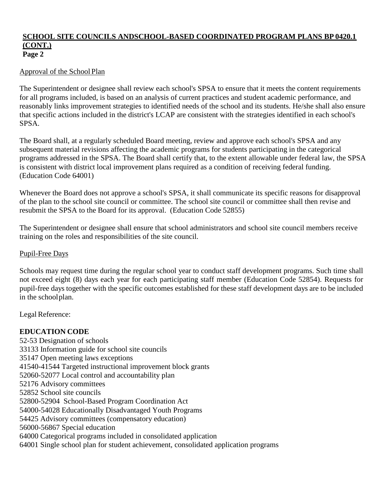#### **SCHOOL SITE COUNCILS ANDSCHOOL-BASED COORDINATED PROGRAM PLANS BP 0420.1 (CONT.) Page 2**

## Approval of the School Plan

The Superintendent or designee shall review each school's SPSA to ensure that it meets the content requirements for all programs included, is based on an analysis of current practices and student academic performance, and reasonably links improvement strategies to identified needs of the school and its students. He/she shall also ensure that specific actions included in the district's LCAP are consistent with the strategies identified in each school's SPSA.

The Board shall, at a regularly scheduled Board meeting, review and approve each school's SPSA and any subsequent material revisions affecting the academic programs for students participating in the categorical programs addressed in the SPSA. The Board shall certify that, to the extent allowable under federal law, the SPSA is consistent with district local improvement plans required as a condition of receiving federal funding. (Education Code 64001)

Whenever the Board does not approve a school's SPSA, it shall communicate its specific reasons for disapproval of the plan to the school site council or committee. The school site council or committee shall then revise and resubmit the SPSA to the Board for its approval. (Education Code 52855)

The Superintendent or designee shall ensure that school administrators and school site council members receive training on the roles and responsibilities of the site council.

### Pupil-Free Days

Schools may request time during the regular school year to conduct staff development programs. Such time shall not exceed eight (8) days each year for each participating staff member (Education Code 52854). Requests for pupil-free days together with the specific outcomes established for these staff development days are to be included in the schoolplan.

Legal Reference:

### **EDUCATION CODE**

52-53 Designation of schools 33133 Information guide for school site councils 35147 Open meeting laws exceptions 41540-41544 Targeted instructional improvement block grants 52060-52077 Local control and accountability plan 52176 Advisory committees 52852 School site councils 52800-52904 School-Based Program Coordination Act 54000-54028 Educationally Disadvantaged Youth Programs 54425 Advisory committees (compensatory education) 56000-56867 Special education 64000 Categorical programs included in consolidated application 64001 Single school plan for student achievement, consolidated application programs